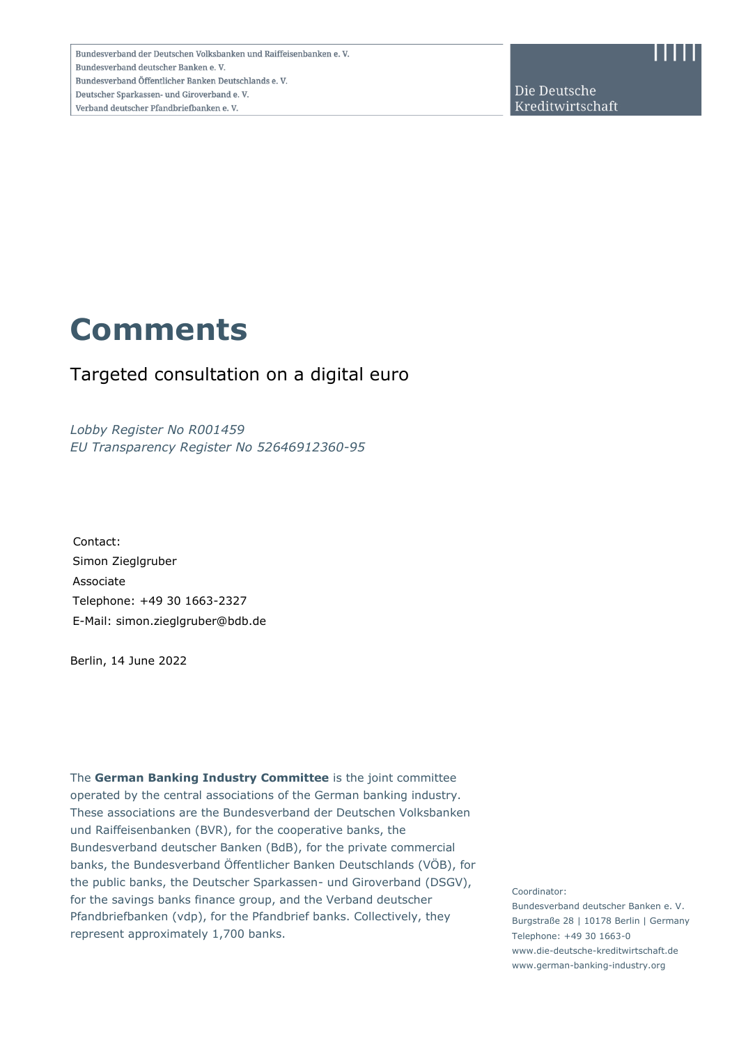Die Deutsche Kreditwirtschaft

# **Comments**

# Targeted consultation on a digital euro

*Lobby Register No R001459 EU Transparency Register No 52646912360-95*

Contact: Simon Zieglgruber Associate Telephone: +49 30 1663-2327 E-Mail: simon.zieglgruber@bdb.de

Berlin, 14 June 2022

The **German Banking Industry Committee** is the joint committee operated by the central associations of the German banking industry. These associations are the Bundesverband der Deutschen Volksbanken und Raiffeisenbanken (BVR), for the cooperative banks, the Bundesverband deutscher Banken (BdB), for the private commercial banks, the Bundesverband Öffentlicher Banken Deutschlands (VÖB), for the public banks, the Deutscher Sparkassen- und Giroverband (DSGV), for the savings banks finance group, and the Verband deutscher Pfandbriefbanken (vdp), for the Pfandbrief banks. Collectively, they represent approximately 1,700 banks.

Coordinator:

Bundesverband deutscher Banken e. V. Burgstraße 28 | 10178 Berlin | Germany Telephone: +49 30 1663-0 www.die-deutsche-kreditwirtschaft.de www.german-banking-industry.org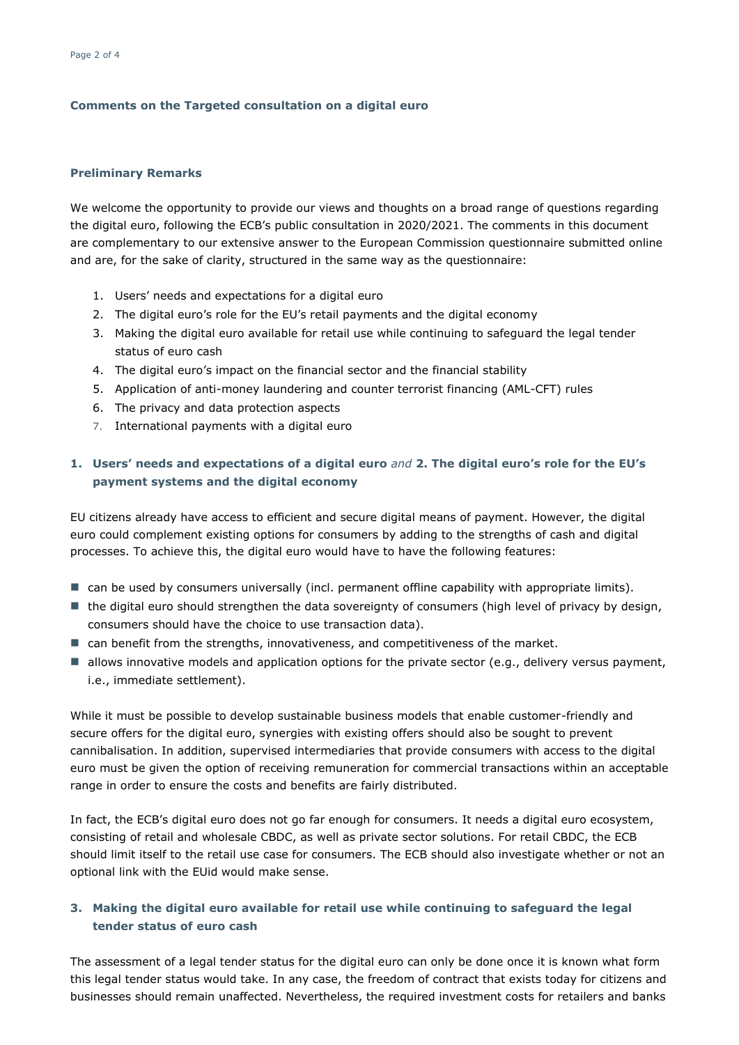#### **Comments on the Targeted consultation on a digital euro**

#### **Preliminary Remarks**

We welcome the opportunity to provide our views and thoughts on a broad range of questions regarding the digital euro, following the ECB's public consultation in 2020/2021. The comments in this document are complementary to our extensive answer to the European Commission questionnaire submitted online and are, for the sake of clarity, structured in the same way as the questionnaire:

- 1. Users' needs and expectations for a digital euro
- 2. The digital euro's role for the EU's retail payments and the digital economy
- 3. Making the digital euro available for retail use while continuing to safeguard the legal tender status of euro cash
- 4. The digital euro's impact on the financial sector and the financial stability
- 5. Application of anti-money laundering and counter terrorist financing (AML-CFT) rules
- 6. The privacy and data protection aspects
- 7. International payments with a digital euro

## **1. Users' needs and expectations of a digital euro** *and* **2. The digital euro's role for the EU's payment systems and the digital economy**

EU citizens already have access to efficient and secure digital means of payment. However, the digital euro could complement existing options for consumers by adding to the strengths of cash and digital processes. To achieve this, the digital euro would have to have the following features:

- can be used by consumers universally (incl. permanent offline capability with appropriate limits).
- the digital euro should strengthen the data sovereignty of consumers (high level of privacy by design, consumers should have the choice to use transaction data).
- can benefit from the strengths, innovativeness, and competitiveness of the market.
- allows innovative models and application options for the private sector (e.g., delivery versus payment, i.e., immediate settlement).

While it must be possible to develop sustainable business models that enable customer-friendly and secure offers for the digital euro, synergies with existing offers should also be sought to prevent cannibalisation. In addition, supervised intermediaries that provide consumers with access to the digital euro must be given the option of receiving remuneration for commercial transactions within an acceptable range in order to ensure the costs and benefits are fairly distributed.

In fact, the ECB's digital euro does not go far enough for consumers. It needs a digital euro ecosystem, consisting of retail and wholesale CBDC, as well as private sector solutions. For retail CBDC, the ECB should limit itself to the retail use case for consumers. The ECB should also investigate whether or not an optional link with the EUid would make sense.

### **3. Making the digital euro available for retail use while continuing to safeguard the legal tender status of euro cash**

The assessment of a legal tender status for the digital euro can only be done once it is known what form this legal tender status would take. In any case, the freedom of contract that exists today for citizens and businesses should remain unaffected. Nevertheless, the required investment costs for retailers and banks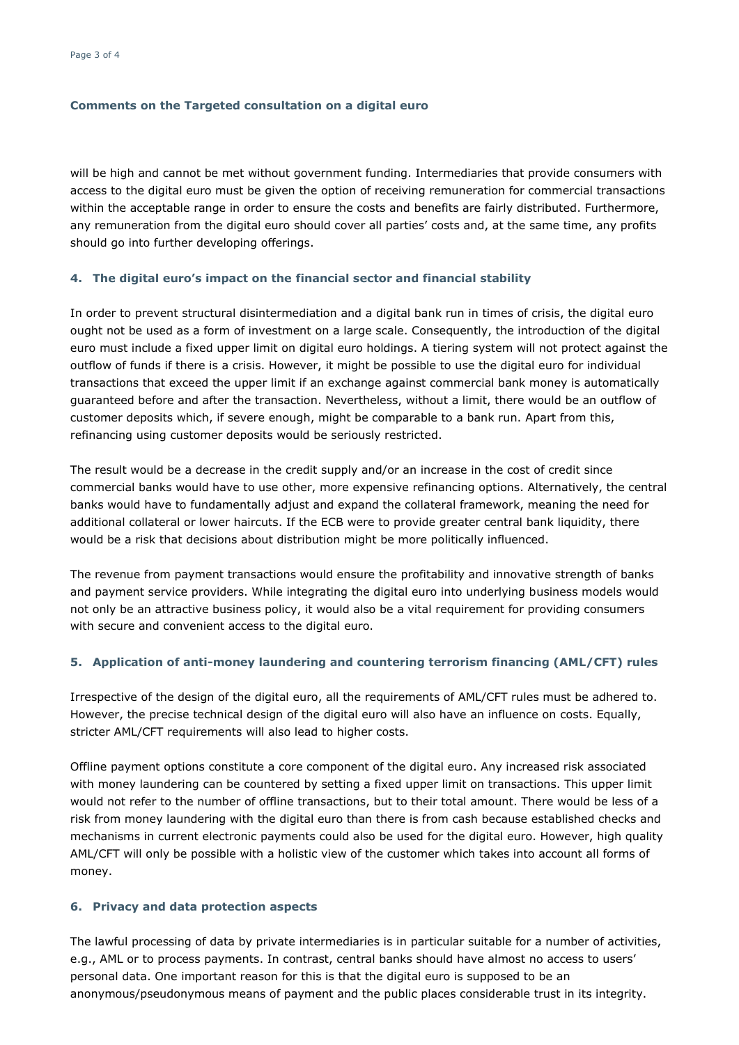#### **Comments on the Targeted consultation on a digital euro**

will be high and cannot be met without government funding. Intermediaries that provide consumers with access to the digital euro must be given the option of receiving remuneration for commercial transactions within the acceptable range in order to ensure the costs and benefits are fairly distributed. Furthermore, any remuneration from the digital euro should cover all parties' costs and, at the same time, any profits should go into further developing offerings.

#### **4. The digital euro's impact on the financial sector and financial stability**

In order to prevent structural disintermediation and a digital bank run in times of crisis, the digital euro ought not be used as a form of investment on a large scale. Consequently, the introduction of the digital euro must include a fixed upper limit on digital euro holdings. A tiering system will not protect against the outflow of funds if there is a crisis. However, it might be possible to use the digital euro for individual transactions that exceed the upper limit if an exchange against commercial bank money is automatically guaranteed before and after the transaction. Nevertheless, without a limit, there would be an outflow of customer deposits which, if severe enough, might be comparable to a bank run. Apart from this, refinancing using customer deposits would be seriously restricted.

The result would be a decrease in the credit supply and/or an increase in the cost of credit since commercial banks would have to use other, more expensive refinancing options. Alternatively, the central banks would have to fundamentally adjust and expand the collateral framework, meaning the need for additional collateral or lower haircuts. If the ECB were to provide greater central bank liquidity, there would be a risk that decisions about distribution might be more politically influenced.

The revenue from payment transactions would ensure the profitability and innovative strength of banks and payment service providers. While integrating the digital euro into underlying business models would not only be an attractive business policy, it would also be a vital requirement for providing consumers with secure and convenient access to the digital euro.

#### **5. Application of anti-money laundering and countering terrorism financing (AML/CFT) rules**

Irrespective of the design of the digital euro, all the requirements of AML/CFT rules must be adhered to. However, the precise technical design of the digital euro will also have an influence on costs. Equally, stricter AML/CFT requirements will also lead to higher costs.

Offline payment options constitute a core component of the digital euro. Any increased risk associated with money laundering can be countered by setting a fixed upper limit on transactions. This upper limit would not refer to the number of offline transactions, but to their total amount. There would be less of a risk from money laundering with the digital euro than there is from cash because established checks and mechanisms in current electronic payments could also be used for the digital euro. However, high quality AML/CFT will only be possible with a holistic view of the customer which takes into account all forms of money.

#### **6. Privacy and data protection aspects**

The lawful processing of data by private intermediaries is in particular suitable for a number of activities, e.g., AML or to process payments. In contrast, central banks should have almost no access to users' personal data. One important reason for this is that the digital euro is supposed to be an anonymous/pseudonymous means of payment and the public places considerable trust in its integrity.